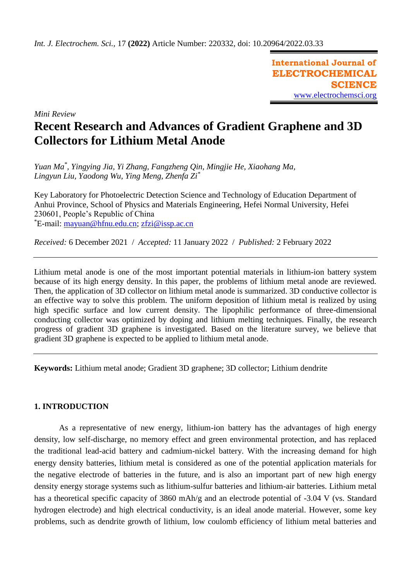**International Journal of ELECTROCHEMICAL SCIENCE** [www.electrochemsci.org](http://www.electrochemsci.org/)

*Mini Review*

# **Recent Research and Advances of Gradient Graphene and 3D Collectors for Lithium Metal Anode**

*Yuan Ma\* , Yingying Jia, Yi Zhang, Fangzheng Qin, Mingjie He, Xiaohang Ma, Lingyun Liu, Yaodong Wu, Ying Meng, Zhenfa Zi\**

Key Laboratory for Photoelectric Detection Science and Technology of Education Department of Anhui Province, School of Physics and Materials Engineering, Hefei Normal University, Hefei 230601, People's Republic of China \*E-mail: [mayuan@hfnu.edu.cn;](mailto:mayuan@hfnu.edu.cn) [zfzi@issp.ac.cn](mailto:zfzi@issp.ac.cn)

*Received:* 6 December 2021/ *Accepted:* 11 January 2022 / *Published:* 2 February 2022

Lithium metal anode is one of the most important potential materials in lithium-ion battery system because of its high energy density. In this paper, the problems of lithium metal anode are reviewed. Then, the application of 3D collector on lithium metal anode is summarized. 3D conductive collector is an effective way to solve this problem. The uniform deposition of lithium metal is realized by using high specific surface and low current density. The lipophilic performance of three-dimensional conducting collector was optimized by doping and lithium melting techniques. Finally, the research progress of gradient 3D graphene is investigated. Based on the literature survey, we believe that gradient 3D graphene is expected to be applied to lithium metal anode.

**Keywords:** Lithium metal anode; Gradient 3D graphene; 3D collector; Lithium dendrite

# **1. INTRODUCTION**

As a representative of new energy, lithium-ion battery has the advantages of high energy density, low self-discharge, no memory effect and green environmental protection, and has replaced the traditional lead-acid battery and cadmium-nickel battery. With the increasing demand for high energy density batteries, lithium metal is considered as one of the potential application materials for the negative electrode of batteries in the future, and is also an important part of new high energy density energy storage systems such as lithium-sulfur batteries and lithium-air batteries. Lithium metal has a theoretical specific capacity of 3860 mAh/g and an electrode potential of -3.04 V (vs. Standard hydrogen electrode) and high electrical conductivity, is an ideal anode material. However, some key problems, such as dendrite growth of lithium, low coulomb efficiency of lithium metal batteries and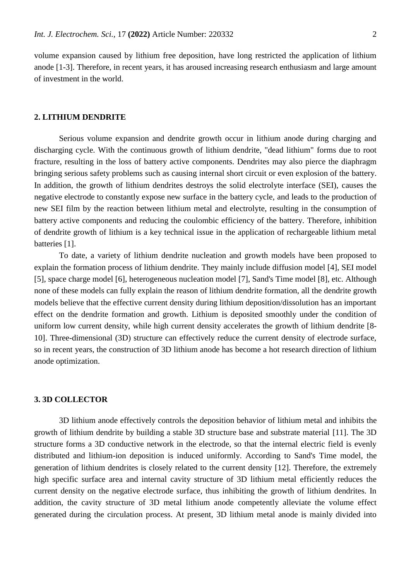volume expansion caused by lithium free deposition, have long restricted the application of lithium anode [1-3]. Therefore, in recent years, it has aroused increasing research enthusiasm and large amount of investment in the world.

## **2. LITHIUM DENDRITE**

Serious volume expansion and dendrite growth occur in lithium anode during charging and discharging cycle. With the continuous growth of lithium dendrite, "dead lithium" forms due to root fracture, resulting in the loss of battery active components. Dendrites may also pierce the diaphragm bringing serious safety problems such as causing internal short circuit or even explosion of the battery. In addition, the growth of lithium dendrites destroys the solid electrolyte interface (SEI), causes the negative electrode to constantly expose new surface in the battery cycle, and leads to the production of new SEI film by the reaction between lithium metal and electrolyte, resulting in the consumption of battery active components and reducing the coulombic efficiency of the battery. Therefore, inhibition of dendrite growth of lithium is a key technical issue in the application of rechargeable lithium metal batteries [1].

To date, a variety of lithium dendrite nucleation and growth models have been proposed to explain the formation process of lithium dendrite. They mainly include diffusion model [4], SEI model [5], space charge model [6], heterogeneous nucleation model [7], Sand's Time model [8], etc. Although none of these models can fully explain the reason of lithium dendrite formation, all the dendrite growth models believe that the effective current density during lithium deposition/dissolution has an important effect on the dendrite formation and growth. Lithium is deposited smoothly under the condition of uniform low current density, while high current density accelerates the growth of lithium dendrite [8- 10]. Three-dimensional (3D) structure can effectively reduce the current density of electrode surface, so in recent years, the construction of 3D lithium anode has become a hot research direction of lithium anode optimization.

### **3. 3D COLLECTOR**

3D lithium anode effectively controls the deposition behavior of lithium metal and inhibits the growth of lithium dendrite by building a stable 3D structure base and substrate material [11]. The 3D structure forms a 3D conductive network in the electrode, so that the internal electric field is evenly distributed and lithium-ion deposition is induced uniformly. According to Sand's Time model, the generation of lithium dendrites is closely related to the current density [12]. Therefore, the extremely high specific surface area and internal cavity structure of 3D lithium metal efficiently reduces the current density on the negative electrode surface, thus inhibiting the growth of lithium dendrites. In addition, the cavity structure of 3D metal lithium anode competently alleviate the volume effect generated during the circulation process. At present, 3D lithium metal anode is mainly divided into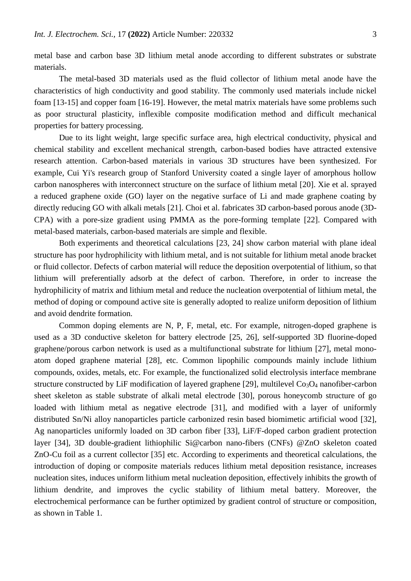metal base and carbon base 3D lithium metal anode according to different substrates or substrate materials.

The metal-based 3D materials used as the fluid collector of lithium metal anode have the characteristics of high conductivity and good stability. The commonly used materials include nickel foam [13-15] and copper foam [16-19]. However, the metal matrix materials have some problems such as poor structural plasticity, inflexible composite modification method and difficult mechanical properties for battery processing.

Due to its light weight, large specific surface area, high electrical conductivity, physical and chemical stability and excellent mechanical strength, carbon-based bodies have attracted extensive research attention. Carbon-based materials in various 3D structures have been synthesized. For example, Cui Yi's research group of Stanford University coated a single layer of amorphous hollow carbon nanospheres with interconnect structure on the surface of lithium metal [20]. Xie et al. sprayed a reduced graphene oxide (GO) layer on the negative surface of Li and made graphene coating by directly reducing GO with alkali metals [21]. Choi et al. fabricates 3D carbon-based porous anode (3D-CPA) with a pore-size gradient using PMMA as the pore-forming template [22]. Compared with metal-based materials, carbon-based materials are simple and flexible.

Both experiments and theoretical calculations [23, 24] show carbon material with plane ideal structure has poor hydrophilicity with lithium metal, and is not suitable for lithium metal anode bracket or fluid collector. Defects of carbon material will reduce the deposition overpotential of lithium, so that lithium will preferentially adsorb at the defect of carbon. Therefore, in order to increase the hydrophilicity of matrix and lithium metal and reduce the nucleation overpotential of lithium metal, the method of doping or compound active site is generally adopted to realize uniform deposition of lithium and avoid dendrite formation.

Common doping elements are N, P, F, metal, etc. For example, nitrogen-doped graphene is used as a 3D conductive skeleton for battery electrode [25, 26], self-supported 3D fluorine-doped graphene/porous carbon network is used as a multifunctional substrate for lithium [27], metal monoatom doped graphene material [28], etc. Common lipophilic compounds mainly include lithium compounds, oxides, metals, etc. For example, the functionalized solid electrolysis interface membrane structure constructed by LiF modification of layered graphene [29], multilevel  $Co<sub>3</sub>O<sub>4</sub>$  nanofiber-carbon sheet skeleton as stable substrate of alkali metal electrode [30], porous honeycomb structure of go loaded with lithium metal as negative electrode [31], and modified with a layer of uniformly distributed Sn/Ni alloy nanoparticles particle carbonized resin based biomimetic artificial wood [32], Ag nanoparticles uniformly loaded on 3D carbon fiber [33], LiF/F-doped carbon gradient protection layer [34], 3D double-gradient lithiophilic Si@carbon nano-fibers (CNFs) @ZnO skeleton coated ZnO-Cu foil as a current collector [35] etc. According to experiments and theoretical calculations, the introduction of doping or composite materials reduces lithium metal deposition resistance, increases nucleation sites, induces uniform lithium metal nucleation deposition, effectively inhibits the growth of lithium dendrite, and improves the cyclic stability of lithium metal battery. Moreover, the electrochemical performance can be further optimized by gradient control of structure or composition, as shown in Table 1.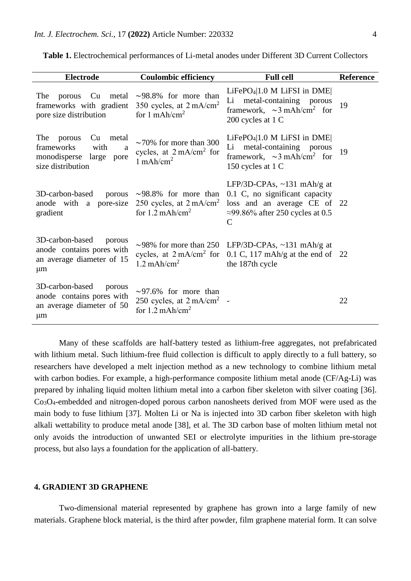| <b>Electrode</b>                                                                                           | <b>Coulombic efficiency</b>                                                                                         | <b>Full cell</b>                                                                                                                                               | <b>Reference</b> |
|------------------------------------------------------------------------------------------------------------|---------------------------------------------------------------------------------------------------------------------|----------------------------------------------------------------------------------------------------------------------------------------------------------------|------------------|
| The<br>frameworks with gradient<br>pore size distribution                                                  | porous Cu metal $\sim$ 98.8% for more than<br>350 cycles, at $2 \text{ mA/cm}^2$<br>for $1 \text{ mA}h/\text{cm}^2$ | $LiFePO4 1.0 M LiFSI$ in DME<br>metal-containing<br>Li<br>porous<br>framework, $\sim$ 3 mAh/cm <sup>2</sup> for<br>200 cycles at 1 C                           | 19               |
| The<br>porous<br>Cu<br>metal<br>frameworks<br>with<br>a<br>monodisperse large<br>pore<br>size distribution | $\sim$ 70% for more than 300<br>cycles, at $2 \text{ mA/cm}^2$ for<br>$1$ mAh/cm <sup>2</sup>                       | $LiFePO4 1.0 M LiFSI$ in $DME$<br>metal-containing porous<br>Li<br>framework, $\sim$ 3 mAh/cm <sup>2</sup> for<br>150 cycles at 1 C                            | 19               |
| 3D-carbon-based<br>anode with a pore-size<br>gradient                                                      | porous $\sim$ 98.8% for more than<br>250 cycles, at $2 \text{ mA/cm}^2$<br>for $1.2 \text{ mA}$ h/cm <sup>2</sup>   | LFP/3D-CPAs, $\sim$ 131 mAh/g at<br>0.1 C, no significant capacity<br>loss and an average CE of 22<br>$\approx$ 99.86% after 250 cycles at 0.5<br>$\mathsf{C}$ |                  |
| 3D-carbon-based<br>porous<br>anode contains pores with<br>an average diameter of 15<br>$\mu$ m             | $1.2 \text{ mA}$ h/cm <sup>2</sup>                                                                                  | ~98% for more than 250 LFP/3D-CPAs, ~131 mAh/g at<br>cycles, at $2 \text{ mA/cm}^2$ for 0.1 C, 117 mAh/g at the end of 22<br>the 187th cycle                   |                  |
| 3D-carbon-based<br>porous<br>anode contains pores with<br>an average diameter of 50<br>$\mu$ m             | $\sim$ 97.6% for more than<br>250 cycles, at $2 \text{ mA/cm}^2$ -<br>for $1.2 \text{ mA}$ h/cm <sup>2</sup>        |                                                                                                                                                                | 22               |

**Table 1.** Electrochemical performances of Li-metal anodes under Different 3D Current Collectors

Many of these scaffolds are half-battery tested as lithium-free aggregates, not prefabricated with lithium metal. Such lithium-free fluid collection is difficult to apply directly to a full battery, so researchers have developed a melt injection method as a new technology to combine lithium metal with carbon bodies. For example, a high-performance composite lithium metal anode (CF/Ag-Li) was prepared by inhaling liquid molten lithium metal into a carbon fiber skeleton with silver coating [36]. Co3O4-embedded and nitrogen-doped porous carbon nanosheets derived from MOF were used as the main body to fuse lithium [37]. Molten Li or Na is injected into 3D carbon fiber skeleton with high alkali wettability to produce metal anode [38], et al. The 3D carbon base of molten lithium metal not only avoids the introduction of unwanted SEI or electrolyte impurities in the lithium pre-storage process, but also lays a foundation for the application of all-battery.

## **4. GRADIENT 3D GRAPHENE**

Two-dimensional material represented by graphene has grown into a large family of new materials. Graphene block material, is the third after powder, film graphene material form. It can solve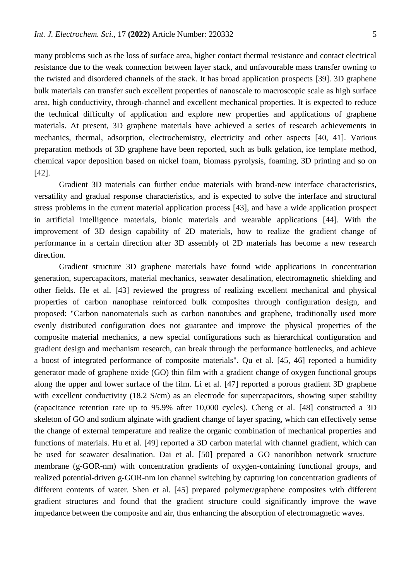many problems such as the loss of surface area, higher contact thermal resistance and contact electrical resistance due to the weak connection between layer stack, and unfavourable mass transfer owning to the twisted and disordered channels of the stack. It has broad application prospects [39]. 3D graphene bulk materials can transfer such excellent properties of nanoscale to macroscopic scale as high surface area, high conductivity, through-channel and excellent mechanical properties. It is expected to reduce the technical difficulty of application and explore new properties and applications of graphene materials. At present, 3D graphene materials have achieved a series of research achievements in mechanics, thermal, adsorption, electrochemistry, electricity and other aspects [40, 41]. Various preparation methods of 3D graphene have been reported, such as bulk gelation, ice template method, chemical vapor deposition based on nickel foam, biomass pyrolysis, foaming, 3D printing and so on [42].

Gradient 3D materials can further endue materials with brand-new interface characteristics, versatility and gradual response characteristics, and is expected to solve the interface and structural stress problems in the current material application process [43], and have a wide application prospect in artificial intelligence materials, bionic materials and wearable applications [44]. With the improvement of 3D design capability of 2D materials, how to realize the gradient change of performance in a certain direction after 3D assembly of 2D materials has become a new research direction.

Gradient structure 3D graphene materials have found wide applications in concentration generation, supercapacitors, material mechanics, seawater desalination, electromagnetic shielding and other fields. He et al. [43] reviewed the progress of realizing excellent mechanical and physical properties of carbon nanophase reinforced bulk composites through configuration design, and proposed: "Carbon nanomaterials such as carbon nanotubes and graphene, traditionally used more evenly distributed configuration does not guarantee and improve the physical properties of the composite material mechanics, a new special configurations such as hierarchical configuration and gradient design and mechanism research, can break through the performance bottlenecks, and achieve a boost of integrated performance of composite materials". Qu et al. [45, 46] reported a humidity generator made of graphene oxide (GO) thin film with a gradient change of oxygen functional groups along the upper and lower surface of the film. Li et al. [47] reported a porous gradient 3D graphene with excellent conductivity (18.2 S/cm) as an electrode for supercapacitors, showing super stability (capacitance retention rate up to 95.9% after 10,000 cycles). Cheng et al. [48] constructed a 3D skeleton of GO and sodium alginate with gradient change of layer spacing, which can effectively sense the change of external temperature and realize the organic combination of mechanical properties and functions of materials. Hu et al. [49] reported a 3D carbon material with channel gradient, which can be used for seawater desalination. Dai et al. [50] prepared a GO nanoribbon network structure membrane (g-GOR-nm) with concentration gradients of oxygen-containing functional groups, and realized potential-driven g-GOR-nm ion channel switching by capturing ion concentration gradients of different contents of water. Shen et al. [45] prepared polymer/graphene composites with different gradient structures and found that the gradient structure could significantly improve the wave impedance between the composite and air, thus enhancing the absorption of electromagnetic waves.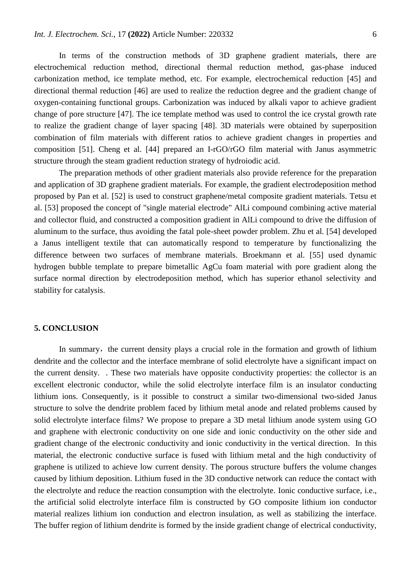In terms of the construction methods of 3D graphene gradient materials, there are electrochemical reduction method, directional thermal reduction method, gas-phase induced carbonization method, ice template method, etc. For example, electrochemical reduction [45] and directional thermal reduction [46] are used to realize the reduction degree and the gradient change of oxygen-containing functional groups. Carbonization was induced by alkali vapor to achieve gradient change of pore structure [47]. The ice template method was used to control the ice crystal growth rate to realize the gradient change of layer spacing [48]. 3D materials were obtained by superposition combination of film materials with different ratios to achieve gradient changes in properties and composition [51]. Cheng et al. [44] prepared an I-rGO/rGO film material with Janus asymmetric structure through the steam gradient reduction strategy of hydroiodic acid.

The preparation methods of other gradient materials also provide reference for the preparation and application of 3D graphene gradient materials. For example, the gradient electrodeposition method proposed by Pan et al. [52] is used to construct graphene/metal composite gradient materials. Tetsu et al. [53] proposed the concept of "single material electrode" AlLi compound combining active material and collector fluid, and constructed a composition gradient in AlLi compound to drive the diffusion of aluminum to the surface, thus avoiding the fatal pole-sheet powder problem. Zhu et al. [54] developed a Janus intelligent textile that can automatically respond to temperature by functionalizing the difference between two surfaces of membrane materials. Broekmann et al. [55] used dynamic hydrogen bubble template to prepare bimetallic AgCu foam material with pore gradient along the surface normal direction by electrodeposition method, which has superior ethanol selectivity and stability for catalysis.

# **5. CONCLUSION**

In summary, the current density plays a crucial role in the formation and growth of lithium dendrite and the collector and the interface membrane of solid electrolyte have a significant impact on the current density. . These two materials have opposite conductivity properties: the collector is an excellent electronic conductor, while the solid electrolyte interface film is an insulator conducting lithium ions. Consequently, is it possible to construct a similar two-dimensional two-sided Janus structure to solve the dendrite problem faced by lithium metal anode and related problems caused by solid electrolyte interface films? We propose to prepare a 3D metal lithium anode system using GO and graphene with electronic conductivity on one side and ionic conductivity on the other side and gradient change of the electronic conductivity and ionic conductivity in the vertical direction. In this material, the electronic conductive surface is fused with lithium metal and the high conductivity of graphene is utilized to achieve low current density. The porous structure buffers the volume changes caused by lithium deposition. Lithium fused in the 3D conductive network can reduce the contact with the electrolyte and reduce the reaction consumption with the electrolyte. Ionic conductive surface, i.e., the artificial solid electrolyte interface film is constructed by GO composite lithium ion conductor material realizes lithium ion conduction and electron insulation, as well as stabilizing the interface. The buffer region of lithium dendrite is formed by the inside gradient change of electrical conductivity,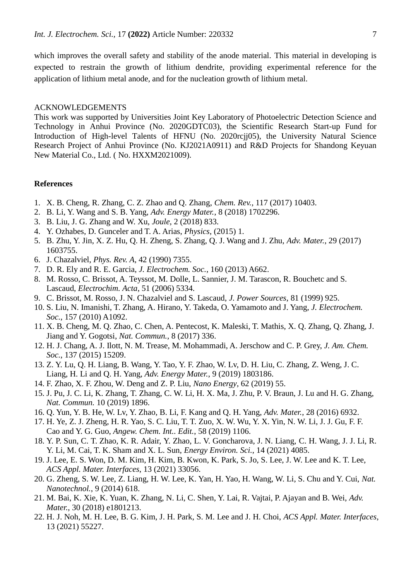which improves the overall safety and stability of the anode material. This material in developing is expected to restrain the growth of lithium dendrite, providing experimental reference for the application of lithium metal anode, and for the nucleation growth of lithium metal.

#### ACKNOWLEDGEMENTS

This work was supported by Universities Joint Key Laboratory of Photoelectric Detection Science and Technology in Anhui Province (No. 2020GDTC03), the Scientific Research Start-up Fund for Introduction of High-level Talents of HFNU (No. 2020rcjj05), the University Natural Science Research Project of Anhui Province (No. KJ2021A0911) and R&D Projects for Shandong Keyuan New Material Co., Ltd. ( No. HXXM2021009).

#### **References**

- 1. X. B. Cheng, R. Zhang, C. Z. Zhao and Q. Zhang, *Chem. Rev.*, 117 (2017) 10403.
- 2. B. Li, Y. Wang and S. B. Yang, *Adv. Energy Mater.*, 8 (2018) 1702296.
- 3. B. Liu, J. G. Zhang and W. Xu, *Joule*, 2 (2018) 833.
- 4. Y. Ozhabes, D. Gunceler and T. A. Arias, *Physics*, (2015) 1.
- 5. B. Zhu, Y. Jin, X. Z. Hu, Q. H. Zheng, S. Zhang, Q. J. Wang and J. Zhu, *Adv. Mater.*, 29 (2017) 1603755.
- 6. J. Chazalviel, *Phys. Rev. A*, 42 (1990) 7355.
- 7. D. R. Ely and R. E. Garcia, *J. Electrochem. Soc.*, 160 (2013) A662.
- 8. M. Rosso, C. Brissot, A. Teyssot, M. Dolle, L. Sannier, J. M. Tarascon, R. Bouchetc and S. Lascaud, *Electrochim. Acta*, 51 (2006) 5334.
- 9. C. Brissot, M. Rosso, J. N. Chazalviel and S. Lascaud, *J. Power Sources*, 81 (1999) 925.
- 10. S. Liu, N. Imanishi, T. Zhang, A. Hirano, Y. Takeda, O. Yamamoto and J. Yang, *J. Electrochem. Soc.*, 157 (2010) A1092.
- 11. X. B. Cheng, M. Q. Zhao, C. Chen, A. Pentecost, K. Maleski, T. Mathis, X. Q. Zhang, Q. Zhang, J. Jiang and Y. Gogotsi, *Nat. Commun.*, 8 (2017) 336.
- 12. H. J. Chang, A. J. Ilott, N. M. Trease, M. Mohammadi, A. Jerschow and C. P. Grey, *J. Am. Chem. Soc.*, 137 (2015) 15209.
- 13. Z. Y. Lu, Q. H. Liang, B. Wang, Y. Tao, Y. F. Zhao, W. Lv, D. H. Liu, C. Zhang, Z. Weng, J. C. Liang, H. Li and Q. H. Yang, *Adv. Energy Mater.*, 9 (2019) 1803186.
- 14. F. Zhao, X. F. Zhou, W. Deng and Z. P. Liu, *Nano Energy*, 62 (2019) 55.
- 15. J. Pu, J. C. Li, K. Zhang, T. Zhang, C. W. Li, H. X. Ma, J. Zhu, P. V. Braun, J. Lu and H. G. Zhang, *Nat. Commun.* 10 (2019) 1896.
- 16. Q. Yun, Y. B. He, W. Lv, Y. Zhao, B. Li, F. Kang and Q. H. Yang, *Adv. Mater.*, 28 (2016) 6932.
- 17. H. Ye, Z. J. Zheng, H. R. Yao, S. C. Liu, T. T. Zuo, X. W. Wu, Y. X. Yin, N. W. Li, J. J. Gu, F. F. Cao and Y. G. Guo, *Angew. Chem. Int.. Edit.*, 58 (2019) 1106.
- 18. Y. P. Sun, C. T. Zhao, K. R. Adair, Y. Zhao, L. V. Goncharova, J. N. Liang, C. H. Wang, J. J. Li, R. Y. Li, M. Cai, T. K. Sham and X. L. Sun, *Energy Environ. Sci.*, 14 (2021) 4085.
- 19. J. Lee, E. S. Won, D. M. Kim, H. Kim, B. Kwon, K. Park, S. Jo, S. Lee, J. W. Lee and K. T. Lee, *ACS Appl. Mater. Interfaces*, 13 (2021) 33056.
- 20. G. Zheng, S. W. Lee, Z. Liang, H. W. Lee, K. Yan, H. Yao, H. Wang, W. Li, S. Chu and Y. Cui, *Nat. Nanotechnol.*, 9 (2014) 618.
- 21. M. Bai, K. Xie, K. Yuan, K. Zhang, N. Li, C. Shen, Y. Lai, R. Vajtai, P. Ajayan and B. Wei, *Adv. Mater.*, 30 (2018) e1801213.
- 22. H. J. Noh, M. H. Lee, B. G. Kim, J. H. Park, S. M. Lee and J. H. Choi, *ACS Appl. Mater. Interfaces*, 13 (2021) 55227.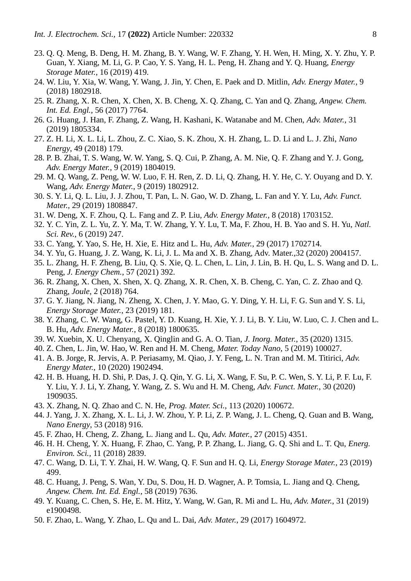- 23. Q. Q. Meng, B. Deng, H. M. Zhang, B. Y. Wang, W. F. Zhang, Y. H. Wen, H. Ming, X. Y. Zhu, Y. P. Guan, Y. Xiang, M. Li, G. P. Cao, Y. S. Yang, H. L. Peng, H. Zhang and Y. Q. Huang, *Energy Storage Mater.*, 16 (2019) 419.
- 24. W. Liu, Y. Xia, W. Wang, Y. Wang, J. Jin, Y. Chen, E. Paek and D. Mitlin, *Adv. Energy Mater.*, 9 (2018) 1802918.
- 25. R. Zhang, X. R. Chen, X. Chen, X. B. Cheng, X. Q. Zhang, C. Yan and Q. Zhang, *Angew. Chem. Int. Ed. Engl.*, 56 (2017) 7764.
- 26. G. Huang, J. Han, F. Zhang, Z. Wang, H. Kashani, K. Watanabe and M. Chen, *Adv. Mater.*, 31 (2019) 1805334.
- 27. Z. H. Li, X. L. Li, L. Zhou, Z. C. Xiao, S. K. Zhou, X. H. Zhang, L. D. Li and L. J. Zhi, *Nano Energy*, 49 (2018) 179.
- 28. P. B. Zhai, T. S. Wang, W. W. Yang, S. Q. Cui, P. Zhang, A. M. Nie, Q. F. Zhang and Y. J. Gong, *Adv. Energy Mater.*, 9 (2019) 1804019.
- 29. M. Q. Wang, Z. Peng, W. W. Luo, F. H. Ren, Z. D. Li, Q. Zhang, H. Y. He, C. Y. Ouyang and D. Y. Wang, *Adv. Energy Mater.*, 9 (2019) 1802912.
- 30. S. Y. Li, Q. L. Liu, J. J. Zhou, T. Pan, L. N. Gao, W. D. Zhang, L. Fan and Y. Y. Lu, *Adv. Funct. Mater.*, 29 (2019) 1808847.
- 31. W. Deng, X. F. Zhou, Q. L. Fang and Z. P. Liu, *Adv. Energy Mater.*, 8 (2018) 1703152.
- 32. Y. C. Yin, Z. L. Yu, Z. Y. Ma, T. W. Zhang, Y. Y. Lu, T. Ma, F. Zhou, H. B. Yao and S. H. Yu, *Natl. Sci. Rev.*, 6 (2019) 247.
- 33. C. Yang, Y. Yao, S. He, H. Xie, E. Hitz and L. Hu, *Adv. Mater.*, 29 (2017) 1702714.
- 34. Y. Yu, G. Huang, J. Z. Wang, K. Li, J. L. Ma and X. B. Zhang, Adv. Mater.,32 (2020) 2004157.
- 35. L. Zhang, H. F. Zheng, B. Liu, Q. S. Xie, Q. L. Chen, L. Lin, J. Lin, B. H. Qu, L. S. Wang and D. L. Peng, *J. Energy Chem.*, 57 (2021) 392.
- 36. R. Zhang, X. Chen, X. Shen, X. Q. Zhang, X. R. Chen, X. B. Cheng, C. Yan, C. Z. Zhao and Q. Zhang, *Joule*, 2 (2018) 764.
- 37. G. Y. Jiang, N. Jiang, N. Zheng, X. Chen, J. Y. Mao, G. Y. Ding, Y. H. Li, F. G. Sun and Y. S. Li, *Energy Storage Mater.*, 23 (2019) 181.
- 38. Y. Zhang, C. W. Wang, G. Pastel, Y. D. Kuang, H. Xie, Y. J. Li, B. Y. Liu, W. Luo, C. J. Chen and L. B. Hu, *Adv. Energy Mater.*, 8 (2018) 1800635.
- 39. W. Xuebin, X. U. Chenyang, X. Qinglin and G. A. O. Tian, *J. Inorg. Mater.*, 35 (2020) 1315.
- 40. Z. Chen, L. Jin, W. Hao, W. Ren and H. M. Cheng, *Mater. Today Nano*, 5 (2019) 100027.
- 41. A. B. Jorge, R. Jervis, A. P. Periasamy, M. Qiao, J. Y. Feng, L. N. Tran and M. M. Titirici, *Adv. Energy Mater.*, 10 (2020) 1902494.
- 42. H. B. Huang, H. D. Shi, P. Das, J. Q. Qin, Y. G. Li, X. Wang, F. Su, P. C. Wen, S. Y. Li, P. F. Lu, F. Y. Liu, Y. J. Li, Y. Zhang, Y. Wang, Z. S. Wu and H. M. Cheng, *Adv. Funct. Mater.*, 30 (2020) 1909035.
- 43. X. Zhang, N. Q. Zhao and C. N. He, *Prog. Mater. Sci.*, 113 (2020) 100672.
- 44. J. Yang, J. X. Zhang, X. L. Li, J. W. Zhou, Y. P. Li, Z. P. Wang, J. L. Cheng, Q. Guan and B. Wang, *Nano Energy*, 53 (2018) 916.
- 45. F. Zhao, H. Cheng, Z. Zhang, L. Jiang and L. Qu, *Adv. Mater.*, 27 (2015) 4351.
- 46. H. H. Cheng, Y. X. Huang, F. Zhao, C. Yang, P. P. Zhang, L. Jiang, G. Q. Shi and L. T. Qu, *Energ. Environ. Sci.*, 11 (2018) 2839.
- 47. C. Wang, D. Li, T. Y. Zhai, H. W. Wang, Q. F. Sun and H. Q. Li, *Energy Storage Mater.*, 23 (2019) 499.
- 48. C. Huang, J. Peng, S. Wan, Y. Du, S. Dou, H. D. Wagner, A. P. Tomsia, L. Jiang and Q. Cheng, *Angew. Chem. Int. Ed. Engl.*, 58 (2019) 7636.
- 49. Y. Kuang, C. Chen, S. He, E. M. Hitz, Y. Wang, W. Gan, R. Mi and L. Hu, *Adv. Mater.*, 31 (2019) e1900498.
- 50. F. Zhao, L. Wang, Y. Zhao, L. Qu and L. Dai, *Adv. Mater.*, 29 (2017) 1604972.